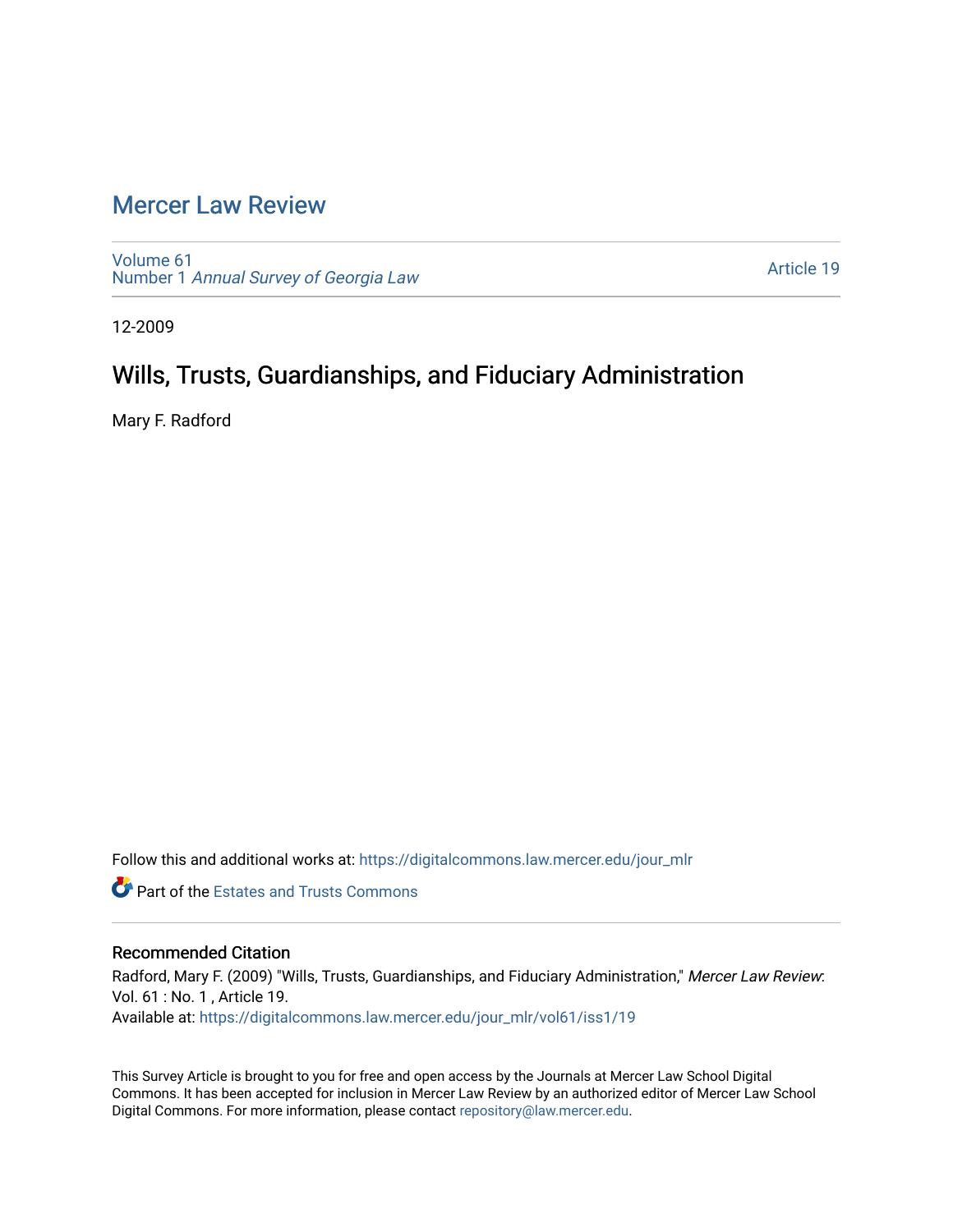# [Mercer Law Review](https://digitalcommons.law.mercer.edu/jour_mlr)

[Volume 61](https://digitalcommons.law.mercer.edu/jour_mlr/vol61) Number 1 [Annual Survey of Georgia Law](https://digitalcommons.law.mercer.edu/jour_mlr/vol61/iss1) 

[Article 19](https://digitalcommons.law.mercer.edu/jour_mlr/vol61/iss1/19) 

12-2009

# Wills, Trusts, Guardianships, and Fiduciary Administration

Mary F. Radford

Follow this and additional works at: [https://digitalcommons.law.mercer.edu/jour\\_mlr](https://digitalcommons.law.mercer.edu/jour_mlr?utm_source=digitalcommons.law.mercer.edu%2Fjour_mlr%2Fvol61%2Fiss1%2F19&utm_medium=PDF&utm_campaign=PDFCoverPages)

**Part of the Estates and Trusts Commons** 

# Recommended Citation

Radford, Mary F. (2009) "Wills, Trusts, Guardianships, and Fiduciary Administration," Mercer Law Review: Vol. 61 : No. 1 , Article 19. Available at: [https://digitalcommons.law.mercer.edu/jour\\_mlr/vol61/iss1/19](https://digitalcommons.law.mercer.edu/jour_mlr/vol61/iss1/19?utm_source=digitalcommons.law.mercer.edu%2Fjour_mlr%2Fvol61%2Fiss1%2F19&utm_medium=PDF&utm_campaign=PDFCoverPages) 

This Survey Article is brought to you for free and open access by the Journals at Mercer Law School Digital Commons. It has been accepted for inclusion in Mercer Law Review by an authorized editor of Mercer Law School Digital Commons. For more information, please contact [repository@law.mercer.edu](mailto:repository@law.mercer.edu).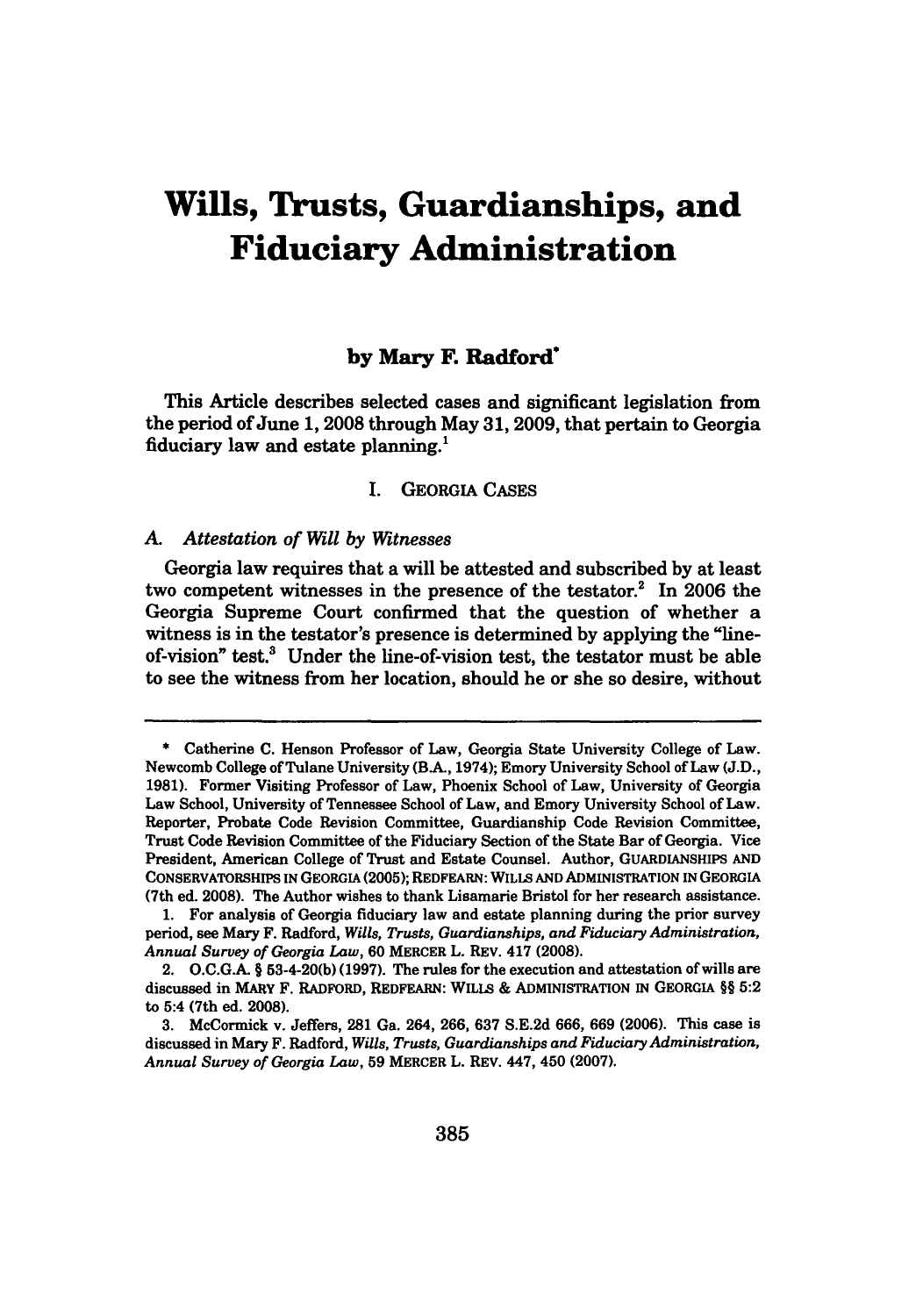# **Wills, Trusts, Guardianships, and Fiduciary Administration**

## **by Mary F. Radford**

This Article describes selected cases and significant legislation from the period of June **1, 2008** through May **31, 2009,** that pertain to Georgia fiduciary law and estate planning.'

#### I. GEORGIA **CASES**

#### *A. Attestation of Will by Witnesses*

Georgia law requires that a will be attested and subscribed **by** at least two competent witnesses in the presence of the testator.<sup>2</sup> In 2006 the Georgia Supreme Court confirmed that the question of whether a witness is in the testator's presence is determined **by** applying the "lineof-vision" test.<sup>3</sup> Under the line-of-vision test, the testator must be able to see the witness from her location, should he or she so desire, without

**<sup>\*</sup>** Catherine **C.** Henson Professor of Law, Georgia State University College of Law. Newcomb College of Tulane University (BA, 1974); Emory University School of Law **(J.D., 1981).** Former Visiting Professor of Law, Phoenix School of Law, University of Georgia Law School, University of Tennessee School of Law, and Emory University School of Law. Reporter, Probate Code Revision Committee, Guardianship Code Revision Committee, Trust Code Revision Committee of the Fiduciary Section of the State Bar of Georgia. Vice President, American College of Trust and Estate Counsel. Author, GUARDIANSHIPS **AND** CONSERVATORSHIPS IN **GEORGIA (2005);** REDFEARN: WILLS **AND** ADMINISTRATION **IN** GEORGIA (7th ed. **2008).** The Author wishes to thank Lisamarie Bristol for her research assistance.

**<sup>1.</sup>** For analysis of Georgia fiduciary law and estate planning during the prior survey period, see Mary F. Radford, *Wills, Trusts, Guardianships, and Fiduciary Administration, Annual Survey of Georgia Law,* **60** MERCER L. REV. 417 **(2008).**

<sup>2.</sup> **O.C.G.A.** § 53-4-20(b) **(1997).** The rules for the execution and attestation of wills are discussed in MARY F. RADFORD, REDFEARN: WILLS **&** ADMINISTRATION IN GEORGIA §§ **5:2** to 5:4 (7th ed. **2008).**

**<sup>3.</sup>** McCormick v. Jeffers, **281** Ga. 264, **266, 637 S.E.2d 666, 669 (2006).** This case is discussed in Mary F. Radford, *Wills, Trusts, Guardianships and Fiduciary Administration, Annual Survey of Georgia Law,* **59** MERCER L. REV. 447, 450 **(2007).**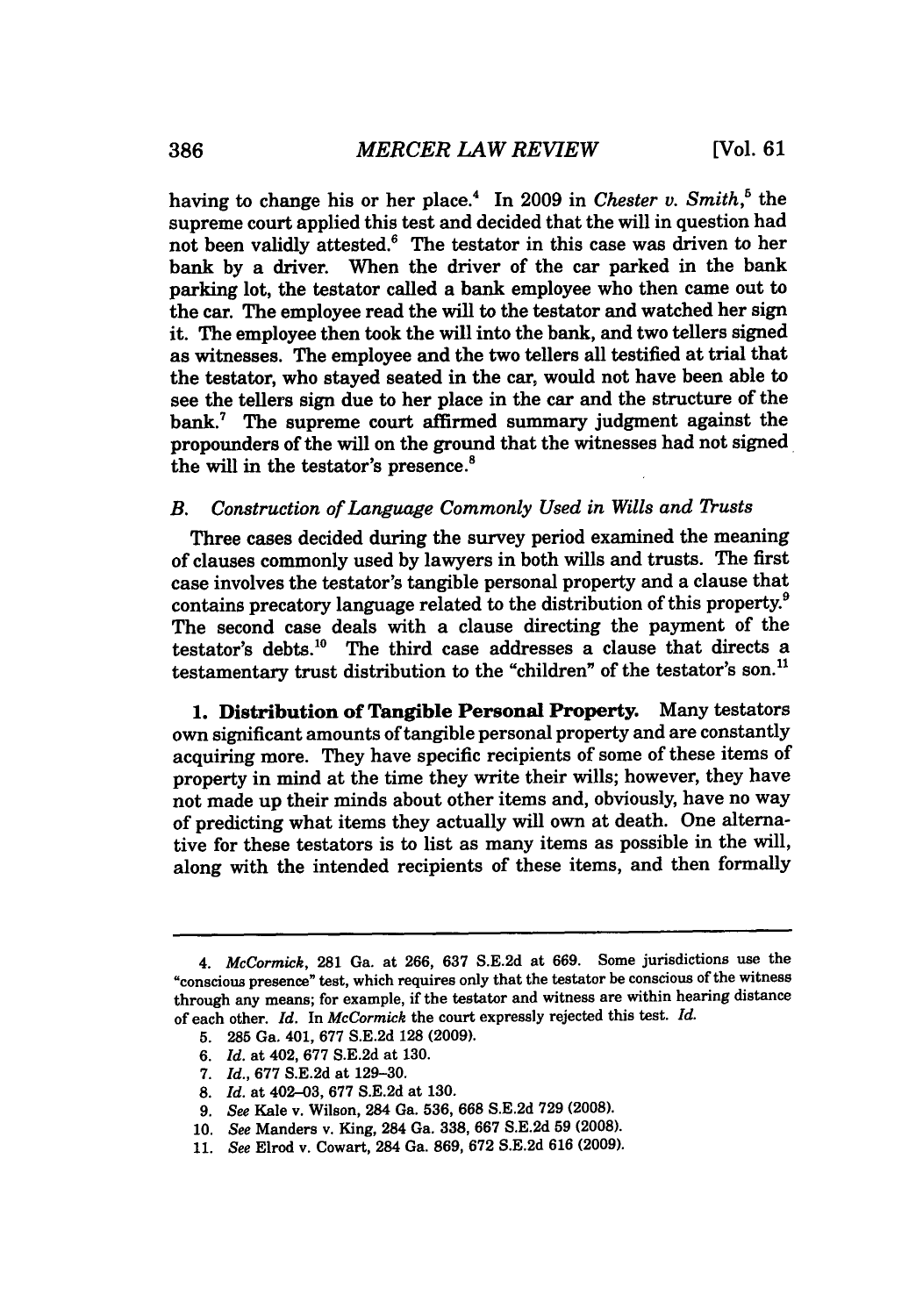having to change his or her place.4 In **2009** in *Chester v. Smith,5* the supreme court applied this test and decided that the will in question had not been validly attested.<sup>6</sup> The testator in this case was driven to her bank by a driver. When the driver of the car parked in the bank parking lot, the testator called a bank employee who then came out to the car. The employee read the will to the testator and watched her sign it. The employee then took the will into the bank, and two tellers signed as witnesses. The employee and the two tellers all testified at trial that the testator, who stayed seated in the car, would not have been able to see the tellers sign due to her place in the car and the structure of the bank.<sup>7</sup> The supreme court affirmed summary judgment against the propounders of the will on the ground that the witnesses had not signed the will in the testator's presence.<sup>8</sup>

## *B. Construction of Language Commonly Used in Wills and Trusts*

Three cases decided during the survey period examined the meaning of clauses commonly used by lawyers in both wills and trusts. The first case involves the testator's tangible personal property and a clause that contains precatory language related to the distribution of this property.<sup>9</sup> The second case deals with a clause directing the payment of the testator's debts.'0 The third case addresses a clause that directs a testamentary trust distribution to the "children" of the testator's son.<sup>11</sup>

**1.** Distribution of Tangible Personal **Property.** Many testators own significant amounts of tangible personal property and are constantly acquiring more. They have specific recipients of some of these items of property in mind at the time they write their wills; however, they have not made up their minds about other items and, obviously, have no way of predicting what items they actually will own at death. One alternative for these testators is to list as many items as possible in the will, along with the intended recipients of these items, and then formally

- **9.** *See* Kale v. Wilson, 284 Ga. **536, 668 S.E.2d 729 (2008).**
- **10.** *See* Manders v. King, 284 Ga. **338, 667 S.E.2d 59 (2008).**
- **11.** *See* Elrod v. Cowart, 284 Ga. **869, 672 S.E.2d 616 (2009).**

*<sup>4.</sup> McCormick,* **281** Ga. at **266, 637 S.E.2d** at **669.** Some jurisdictions use the "conscious presence" test, which requires only that the testator be conscious of the witness through any means; for example, if the testator and witness are within hearing distance of each other. *Id.* In *McCormick* the court expressly rejected this test. *Id.*

**<sup>5. 285</sup>** Ga. 401, **677 S.E.2d 128 (2009).**

**<sup>6.</sup>** *Id.* at 402, **677 S.E.2d** at **130.**

**<sup>7.</sup>** *Id.,* **677 S.E.2d** at **129-30.**

**<sup>8.</sup>** *Id.* at 402-03, **677 S.E.2d** at **130.**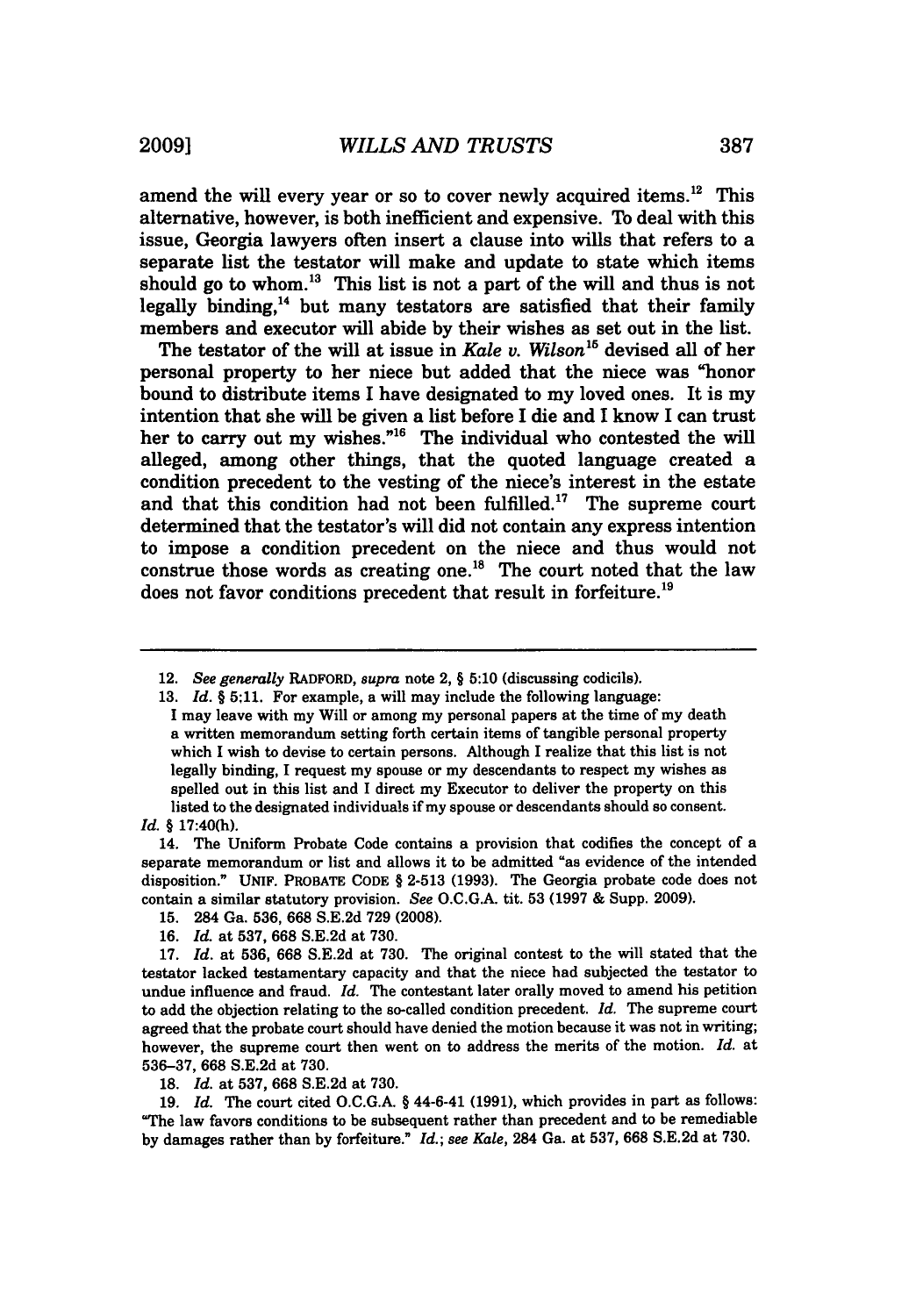amend the will every year or so to cover newly acquired items. $12$  This alternative, however, is both inefficient and expensive. To deal with this issue, Georgia lawyers often insert a clause into wills that refers to a separate list the testator will make and update to state which items should go to whom. $13$  This list is not a part of the will and thus is not legally binding, $14$  but many testators are satisfied that their family members and executor will abide **by** their wishes as set out in the list.

The testator of the will at issue in *Kale v. Wilson*<sup>15</sup> devised all of her personal property to her niece but added that the niece was "honor bound to distribute items **I** have designated to my loved ones. It is my intention that she will be given a list before **I** die and I know I can trust her to carry out my wishes."<sup>16</sup> The individual who contested the will alleged, among other things, that the quoted language created a condition precedent to the vesting of the niece's interest in the estate and that this condition had not been fulfilled.<sup>17</sup> The supreme court determined that the testator's will did not contain any express intention to impose a condition precedent on the niece and thus would not construe those words as creating one.<sup>18</sup> The court noted that the law does not favor conditions precedent that result in forfeiture.<sup>19</sup>

14. The Uniform Probate Code contains a provision that codifies the concept of a separate memorandum or list and allows it to be admitted "as evidence of the intended disposition." UNIF. **PROBATE CODE** § **2-513 (1993).** The Georgia probate code does not contain a similar statutory provision. *See* **O.C.G.A.** tit. **53 (1997 &** Supp. **2009).**

- **15.** 284 Ga. **536, 668 S.E.2d 729 (2008).**
- **16.** *Id.* at **537, 668 S.E.2d** at **730.**

19. *Id.* The court cited O.C.G.A. § 44-6-41 (1991), which provides in part as follows: "The law favors conditions to be subsequent rather than precedent and to be remediable by damages rather than by forfeiture." *Id.; see Kale,* 284 Ga. at 537, 668 S.E.2d at 730.

<sup>12.</sup> *See generally* **RADFORD,** *supra* note 2, § **5:10** (discussing codicils).

**<sup>13.</sup>** *Id. §* **5;11.** For example, a will may include the following language: I may leave with my Will or among my personal papers at the time of my death a written memorandum setting forth certain items of tangible personal property which I wish to devise to certain persons. Although I realize that this list is not legally binding, **I** request my spouse or my descendants to respect my wishes as spelled out in this list and **I** direct my Executor to deliver the property on this listed to the designated individuals if my spouse or descendants should so consent.

*Id. §* 17:40(h).

**<sup>17.</sup>** *Id.* at **536, 668** S.E.2d at 730. The original contest to the will stated that the testator lacked testamentary capacity and that the niece had subjected the testator to undue influence and fraud. *Id.* The contestant later orally moved to amend his petition to add the objection relating to the so-called condition precedent. *Id.* The supreme court agreed that the probate court should have denied the motion because it was not in writing; however, the supreme court then went on to address the merits of the motion. *Id.* at 536-37, 668 S.E.2d at 730.

<sup>18.</sup> *Id.* at **537, 668** S.E.2d at 730.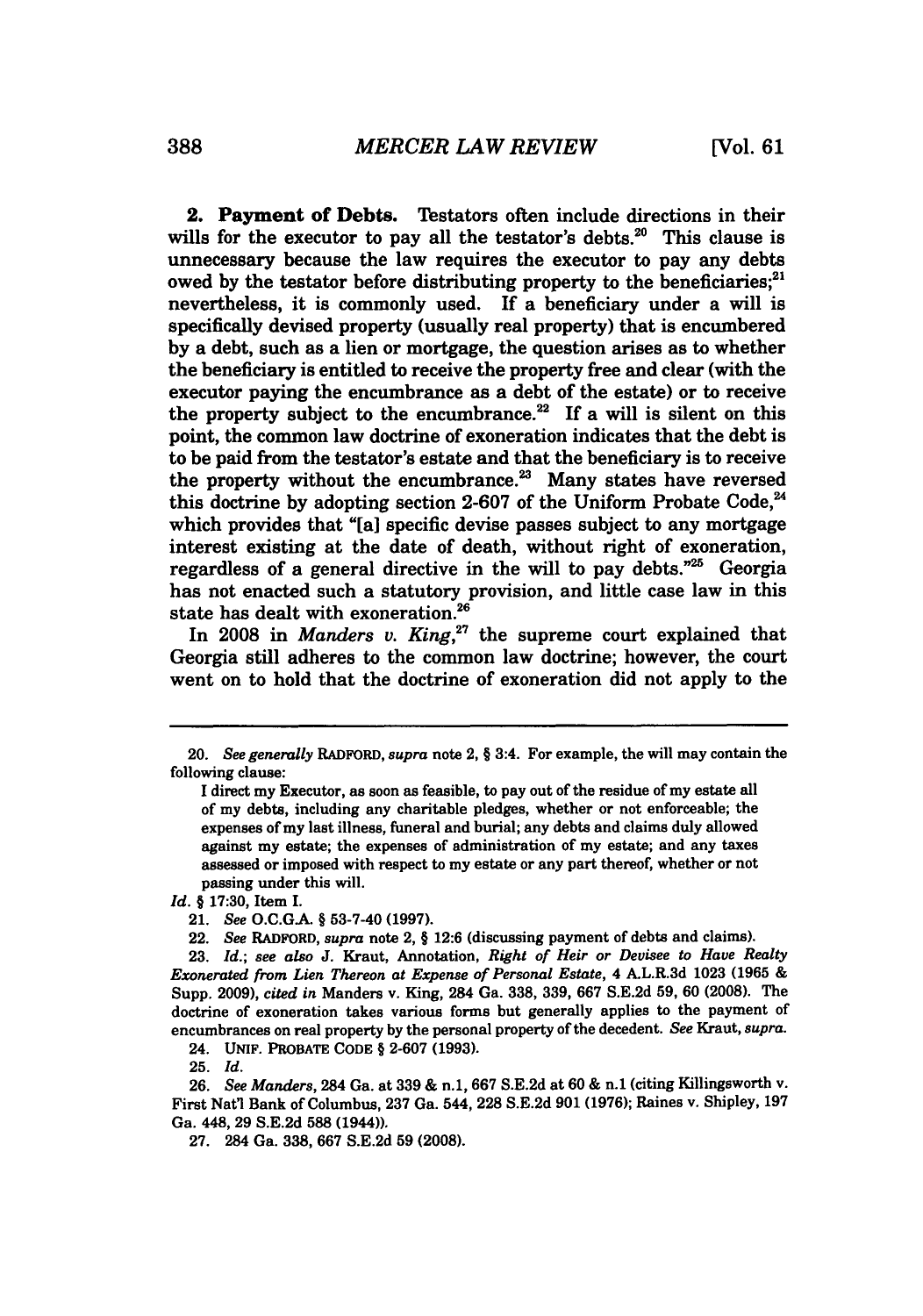**2. Payment of Debts.** Testators often include directions in their wills for the executor to pay all the testator's debts.<sup>20</sup> This clause is unnecessary because the law requires the executor to pay any debts owed by the testator before distributing property to the beneficiaries;<sup>21</sup> nevertheless, it is commonly used. If a beneficiary under a will is specifically devised property (usually real property) that is encumbered **by** a debt, such as a lien or mortgage, the question arises as to whether the beneficiary is entitled to receive the property free and clear (with the executor paying the encumbrance as a debt of the estate) or to receive the property subject to the encumbrance.<sup>22</sup> If a will is silent on this point, the common law doctrine of exoneration indicates that the debt is to be paid from the testator's estate and that the beneficiary is to receive the property without the encumbrance. $23$  Many states have reversed this doctrine **by** adopting section **2-607** of the Uniform Probate Code,' which provides that "[a] specific devise passes subject to any mortgage interest existing at the date of death, without right of exoneration, regardless of a general directive in the will to pay debts."<sup>25</sup> Georgia has not enacted such a statutory provision, and little case law in this state has dealt with exoneration.<sup>26</sup>

In 2008 in *Manders v. King*,<sup>27</sup> the supreme court explained that Georgia still adheres to the common law doctrine; however, the court went on to hold that the doctrine of exoneration did not apply to the

*Id. §* **17:30,** Item **I.**

24. UNIF. PROBATE **CODE** § **2-607 (1993).**

**25.** *Id.*

26. *See Manders,* 284 Ga. at 339 & n.1, **667** S.E.2d at 60 & n.1 (citing Killingsworth v. First Natl Bank of Columbus, 237 Ga. 544, 228 S.E.2d 901 (1976); Raines v. Shipley, 197 Ga. 448, 29 **S.E.2d 588** (1944)).

**27.** 284 Ga. **338, 667 S.E.2d 59 (2008).**

<sup>20.</sup> *See generally* RADFORD, *supra* note 2, **§** 3:4. For example, the will may contain the following clause:

**I** direct my Executor, as soon as feasible, to pay out of the residue of my estate all of my debts, including any charitable pledges, whether or not enforceable; the expenses of my last illness, funeral and burial; any debts and claims duly allowed against my estate; the expenses of administration of my estate; and any taxes assessed or imposed with respect to my estate or any part thereof, whether or not passing under this will.

<sup>21.</sup> *See* **O.C.GA. § 53-7-40 (1997).**

<sup>22.</sup> *See* RADFORD, *supra* note 2, **§ 12:6** (discussing payment of debts and claims).

**<sup>23.</sup>** *Id.; see also* **J.** Kraut, Annotation, *Right of Heir or Devisee to Have Realty Exonerated from Lien Thereon at Expense of Personal Estate,* 4 A.L.R.3d **1023 (1965 &** Supp. **2009),** *cited in* Manders v. King, 284 Ga. **338, 339, 667 S.E.2d 59, 60 (2008).** The doctrine of exoneration takes various forms but generally applies to the payment of encumbrances on real property **by** the personal property of the decedent. *See* Kraut, *supra.*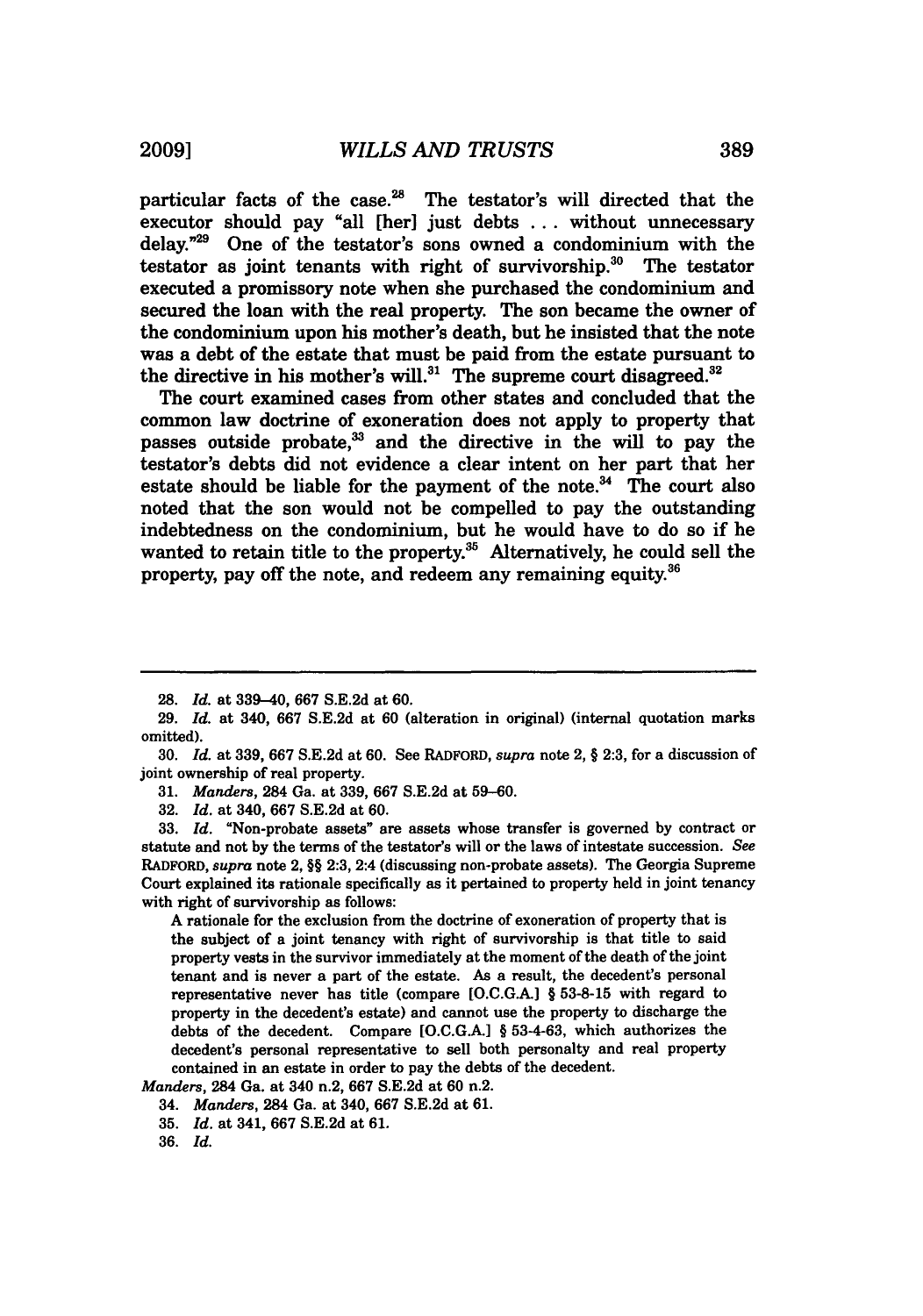particular facts of the case.<sup>28</sup> The testator's will directed that the executor should pay "all **[her]** just debts **...** without unnecessary delay. $729$  One of the testator's sons owned a condominium with the testator as joint tenants with right of survivorship.<sup>30</sup> The testator executed a promissory note when she purchased the condominium and secured the loan with the real property. The son became the owner of the condominium upon his mother's death, but he insisted that the note was a debt of the estate that must be paid from the estate pursuant to the directive in his mother's will. $31$  The supreme court disagreed. $32$ 

The court examined cases from other states and concluded that the common law doctrine of exoneration does not apply to property that passes outside probate, $33$  and the directive in the will to pay the testator's debts did not evidence a clear intent on her part that her estate should be liable for the payment of the note. $34$  The court also noted that the son would not be compelled to pay the outstanding indebtedness on the condominium, but he would have to do so if he wanted to retain title to the property.<sup>35</sup> Alternatively, he could sell the property, pay off the note, and redeem any remaining equity.<sup>36</sup>

**A** rationale for the exclusion from the doctrine of exoneration of property that is the subject of a joint tenancy with right of survivorship is that title to said property vests in the survivor immediately at the moment of the death of the joint tenant and is never a part of the estate. As a result, the decedent's personal representative never has title (compare **[O.C.GA.]** § **53-8-15** with regard to property in the decedent's estate) and cannot use the property to discharge the debts of the decedent. Compare **[O.C.G.A.]** § **53-4-63,** which authorizes the decedent's personal representative to sell both personalty and real property contained in an estate in order to pay the debts of the decedent.

*Manders,* 284 Ga. at 340 n.2, **667 S.E.2d** at **60** n.2.

**<sup>28.</sup>** *Id.* at 339-40, **667 S.E.2d** at **60.**

**<sup>29.</sup>** *Id.* at 340, **667 S.E.2d** at **60** (alteration in original) (internal quotation marks omitted).

**<sup>30.</sup>** *Id.* at **339, 667 S.E.2d** at **60.** See RADFORD, *supra* note 2, § **2:3,** for a discussion of joint ownership of real property.

**<sup>31.</sup>** *Manders,* 284 Ga. at **339, 667 S.E.2d** at **59-60.**

**<sup>32.</sup>** *Id.* at 340, **667 S.E.2d** at **60.**

**<sup>33.</sup>** *Id.* "Non-probate assets" are assets whose transfer is governed **by** contract or statute and not **by** the terms of the testator's will or the laws of intestate succession. *See* RADFORD, *supra* note 2, §§ **2:3,** 2:4 (discussing non-probate assets). The Georgia Supreme Court explained its rationale specifically as it pertained to property held in joint tenancy with right of survivorship as follows:

<sup>34.</sup> *Manders,* 284 Ga. at 340, **667 S.E.2d** at **61.**

**<sup>35.</sup>** *Id.* at 341, **667 S.E.2d** at **61.**

**<sup>36.</sup>** *Id.*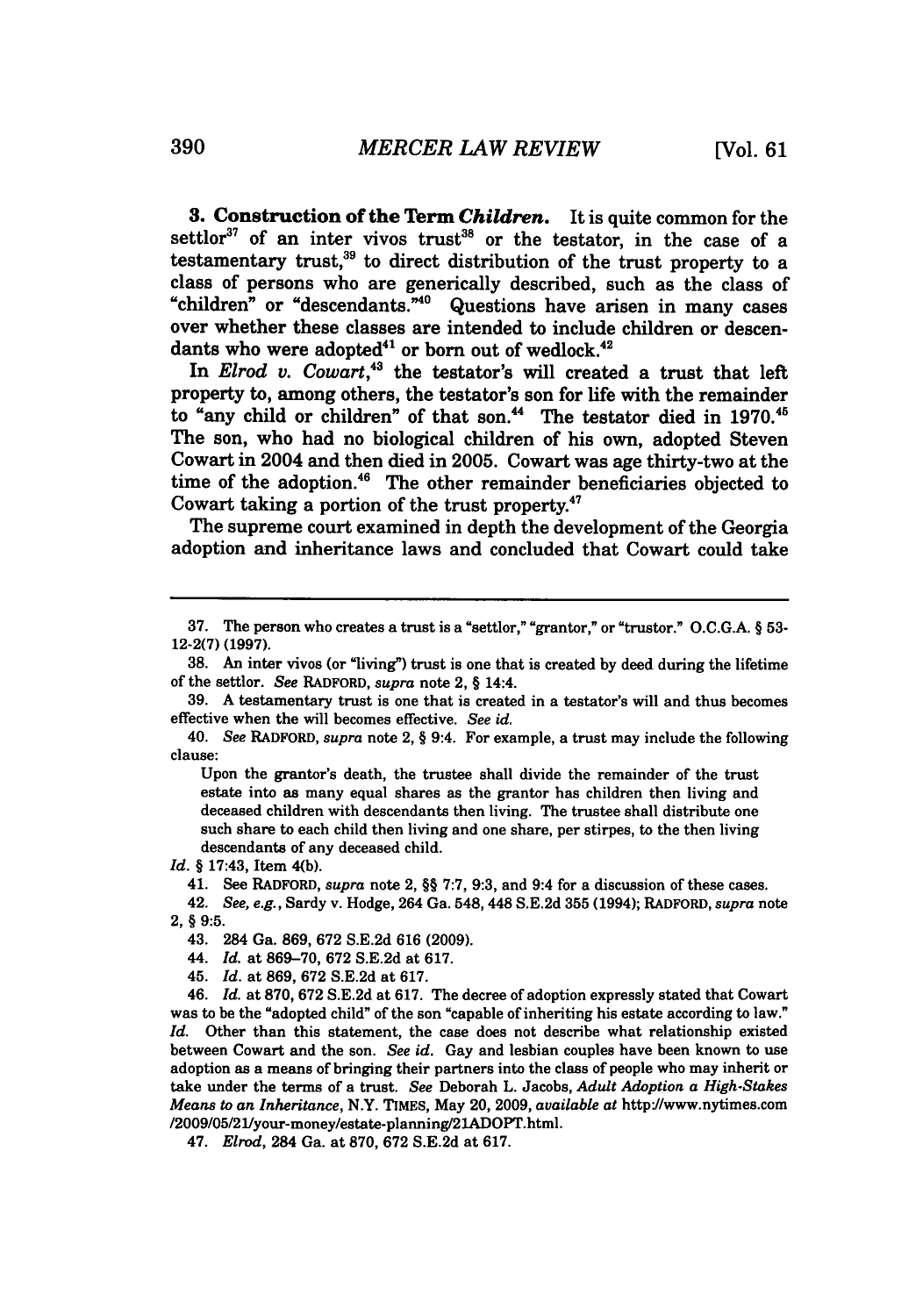**3.** Construction of the Term *Children.* It is quite common for the settlor<sup>37</sup> of an inter vivos trust<sup>38</sup> or the testator, in the case of a testamentary trust,<sup>39</sup> to direct distribution of the trust property to a class of persons who are generically described, such as the class of "children" or "descendants."40 Questions have arisen in many cases over whether these classes are intended to include children or descendants who were adopted<sup>41</sup> or born out of wedlock.<sup>42</sup>

In *Elrod v. Cowart*.<sup>43</sup> the testator's will created a trust that left property to, among others, the testator's son for life with the remainder to "any child or children" of that son.<sup>44</sup> The testator died in 1970.<sup>45</sup> The son, who had no biological children of his own, adopted Steven Cowart in 2004 and then died in **2005.** Cowart was age thirty-two at the time of the adoption.<sup>46</sup> The other remainder beneficiaries objected to Cowart taking a portion of the trust property.47

The supreme court examined in depth the development of the Georgia adoption and inheritance laws and concluded that Cowart could take

Upon the grantor's death, the trustee shall divide the remainder of the trust estate into as many equal shares as the grantor has children then living and deceased children with descendants then living. The trustee shall distribute one such share to each child then living and one share, per stirpes, to the then living descendants of any deceased child.

*Id. §* 17:43, Item 4(b).

41. See RADFORD, *supra* note 2, §§ **7:7, 9:3,** and 9:4 for a discussion of these cases.

42. *See, e.g.,* Sardy v. Hodge, 264 Ga. 548, 448 **S.E.2d 355** (1994); RADFORD, *supra* note 2, § **9:5.**

43. 284 Ga. **869, 672 S.E.2d 616 (2009).**

44. *Id.* at **869-70, 672 S.E.2d** at **617.**

**45.** *Id.* at **869, 672 S.E.2d** at **617.**

46. *Id.* at **870, 672 S.E.2d** at **617.** The decree of adoption expressly stated that Cowart was to be the "adopted child" of the son "capable of inheriting his estate according to law." *Id.* Other than this statement, the case does not describe what relationship existed between Cowart and the son. *See id.* Gay and lesbian couples have been known to use adoption as a means of bringing their partners into the class of people who may inherit or take under the terms of a trust. *See* Deborah L. Jacobs, *Adult Adoption a High-Stakes Means to an Inheritance,* N.Y. TIMEs, May 20, **2009,** *available at* http://www.nytimes.com /2009/05/21/your-money/estate-planning/21ADOPT.html.

47. *Elrod,* 284 Ga. at **870, 672 S.E.2d** at **617.**

**<sup>37.</sup>** The person who creates a trust is a "settlor," "grantor," or "trustor." **O.C.G.A.** § **53- 12-2(7) (1997).**

**<sup>38.</sup>** An inter vivos (or "living") trust is one that is created **by** deed during the lifetime of the settlor. *See* RADFORD, *supra* note 2, § 14:4.

**<sup>39.</sup> A** testamentary trust is one that is created in a testator's will and thus becomes effective when the will becomes effective. *See id.*

<sup>40.</sup> *See* RADFORD, *supra* note 2, § 9:4. For example, a trust may include the following clause: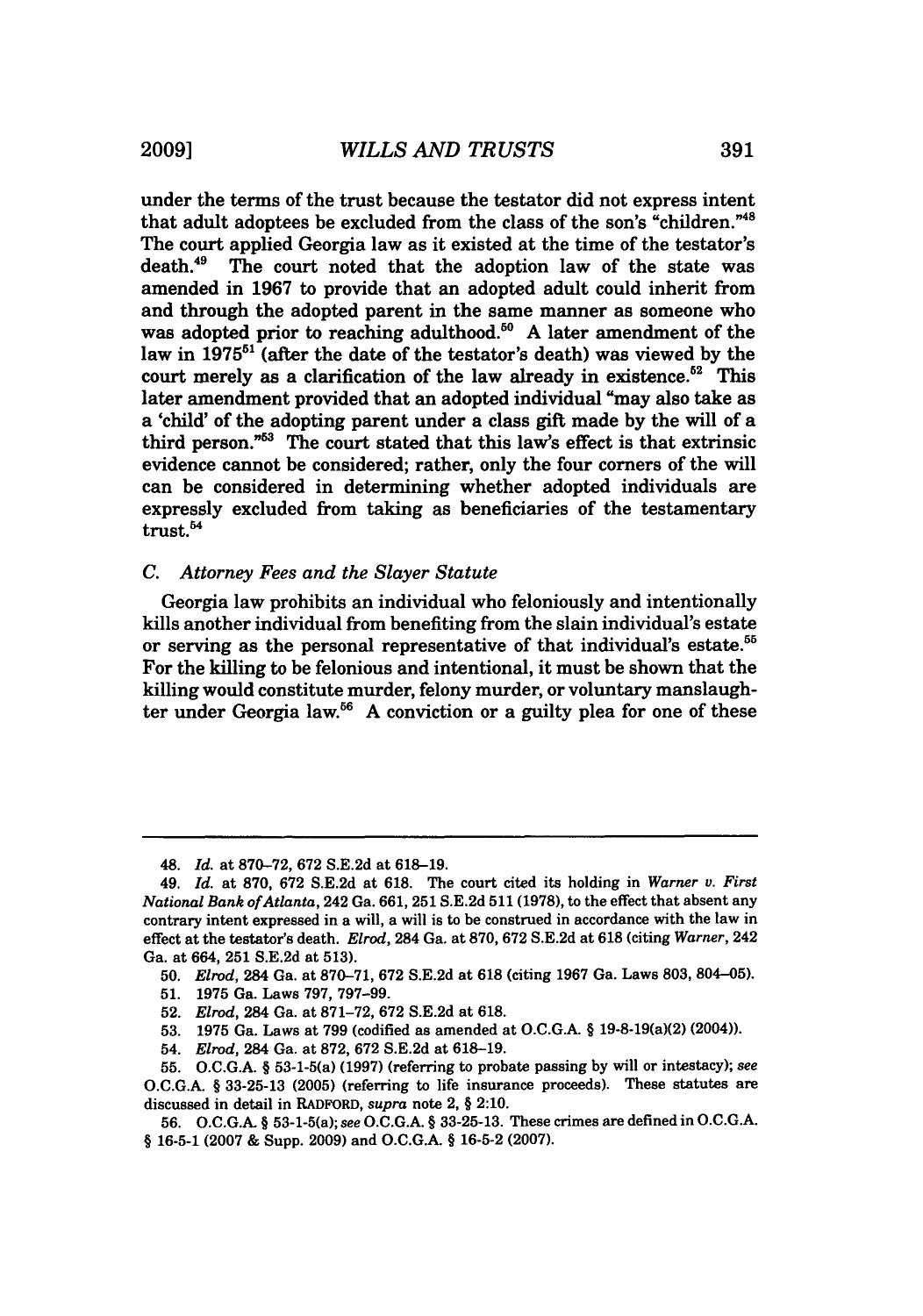under the terms of the trust because the testator did not express intent that adult adoptees be excluded from the class of the son's "children."<sup>48</sup> The court applied Georgia law as it existed at the time of the testator's death.<sup>49</sup> The court noted that the adoption law of the state was amended in **1967** to provide that an adopted adult could inherit from and through the adopted parent in the same manner as someone who was adopted prior to reaching adulthood.<sup>50</sup> A later amendment of the law in **1975"'** (after the date of the testator's death) was viewed **by** the court merely as a clarification of the law already in existence.<sup>52</sup> This later amendment provided that an adopted individual "may also take as a 'child' of the adopting parent under a class gift made **by** the will of a third person."<sup>53</sup> The court stated that this law's effect is that extrinsic evidence cannot be considered; rather, only the four corners of the will can be considered in determining whether adopted individuals are expressly excluded from taking as beneficiaries of the testamentary trust.<sup>54</sup>

#### *C. Attorney Fees and the Slayer Statute*

Georgia law prohibits an individual who feloniously and intentionally kills another individual from benefiting from the slain individual's estate or serving as the personal representative of that individual's estate.<sup>55</sup> For the killing to be felonious and intentional, it must be shown that the killing would constitute murder, felony murder, or voluntary manslaughter under Georgia law.<sup>56</sup> A conviction or a guilty plea for one of these

- **52.** *Elrod,* 284 Ga. at **871-72, 672 S.E.2d** at **618.**
- **53. 1975** Ga. Laws at **799** (codified as amended at **O.C.G.A. §** 19-8-19(a)(2) (2004)).
- 54. *Elrod,* 284 Ga. at **872, 672 S.E.2d** at **618-19.**

<sup>48.</sup> *Id.* at **870-72, 672 S.E.2d** at **618-19.**

<sup>49.</sup> *Id.* at **870, 672 S.E.2d** at **618.** The court cited its holding in *Warner v. First National Bank of Atlanta,* 242 Ga. **661, 251 S.E.2d 511 (1978),** to the effect that absent any contrary intent expressed in a will, a will is to be construed in accordance with the law in effect at the testator's death. *Elrod,* 284 Ga. at **870, 672 S.E.2d** at **618** (citing *Warner,* 242 Ga. at 664, **251 S.E.2d** at **513).**

**<sup>50.</sup>** Elrod, 284 Ga. at **870-71, 672 S.E.2d** at **618** (citing **1967** Ga. Laws **803,** 804-05).

**<sup>51. 1975</sup>** Ga. Laws **797, 797-99.**

**<sup>55.</sup> O.C.G.A. §** 53-1-5(a) **(1997)** (referring to probate passing **by** will or intestacy); *see* **O.C.G.A. § 33-25-13 (2005)** (referring to life insurance proceeds). These statutes are discussed in detail in RADFORD, *supra* note 2, **§** 2:10.

**<sup>56.</sup> O.C.G.A. §** 53-1-5(a); *see* **O.C.G.A. § 33-25-13.** These crimes are defined in **O.C.G.A. § 16-5-1 (2007 &** Supp. **2009)** and **O.C.G.A. § 16-5-2 (2007).**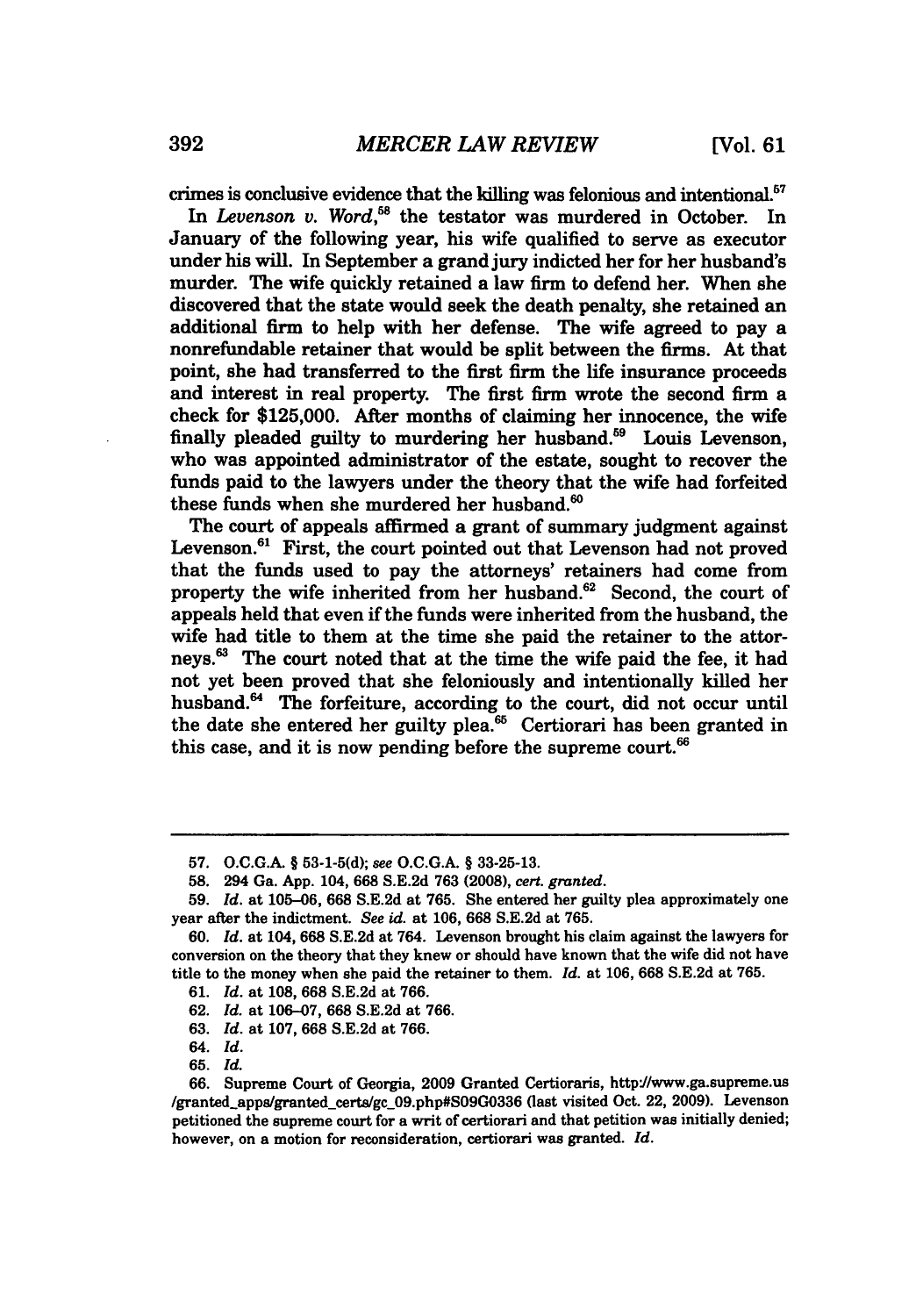crimes is conclusive evidence that the killing was felonious and intentional.<sup>57</sup>

In *Levenson v. Word*,<sup>58</sup> the testator was murdered in October. In January of the following year, his wife qualified to serve as executor under his will. In September a grand jury indicted her for her husband's murder. The wife quickly retained a law firm to defend her. When she discovered that the state would seek the death penalty, she retained an additional firm to help with her defense. The wife agreed to pay a nonrefundable retainer that would be split between the firms. At that point, she had transferred to the first firm the life insurance proceeds and interest in real property. The first firm wrote the second firm a check for **\$125,000.** After months of claiming her innocence, the wife finally pleaded guilty to murdering her husband.<sup>59</sup> Louis Levenson, who was appointed administrator of the estate, sought to recover the funds paid to the lawyers under the theory that the wife had forfeited these funds when she murdered her husband.<sup>60</sup>

The court of appeals affirmed a grant of summary judgment against Levenson.<sup>61</sup> First, the court pointed out that Levenson had not proved that the funds used to pay the attorneys' retainers had come from property the wife inherited from her husband. $62$  Second, the court of appeals held that even **if** the funds were inherited from the husband, the wife had title to them at the time she paid the retainer to the attorneys.63 The court noted that at the time the wife paid the fee, it had not yet been proved that she feloniously and intentionally killed her husband.<sup>64</sup> The forfeiture, according to the court, did not occur until the date she entered her guilty plea. $65$  Certiorari has been granted in this case, and it is now pending before the supreme court. $66$ 

**<sup>57.</sup> O.C.G.A.** § **53-1-5(d);** *see* **O.C.G.A.** § **33-25-13.**

**<sup>58.</sup>** 294 Ga. **App.** 104, **668 S.E.2d 763 (2008),** *cert. granted.*

**<sup>59.</sup>** *Id.* at **105-06, 668 S.E.2d** at **765.** She entered her guilty plea approximately one year after the indictment. *See id.* at **106, 668 S.E.2d** at **765.**

**<sup>60.</sup>** *Id.* at 104, **668 S.E.2d** at 764. Levenson brought his claim against the lawyers for conversion on the theory that they knew or should have known that the wife did not have title to the money when she paid the retainer to them. *Id.* at **106, 668 S.E.2d** at **765.**

**<sup>61.</sup>** *Id.* at **108, 668 S.E.2d** at **766.**

**<sup>62.</sup>** *Id.* at **106-07, 668 S.E.2d** at **766.**

**<sup>63.</sup>** *Id.* at **107, 668 S.E.2d** at **766.**

<sup>64.</sup> *Id.*

**<sup>65.</sup>** *Id.*

**<sup>66.</sup>** Supreme Court of Georgia, **2009** Granted Certioraris, http'J/www.ga.supreme.us /granted-apps/granted-certs/gc\_09.php#S09G0336 (last visited Oct. 22, **2009).** Levenson petitioned the supreme court for a writ of certiorari and that petition was initially denied; however, on a motion for reconsideration, certiorari was granted. *Id.*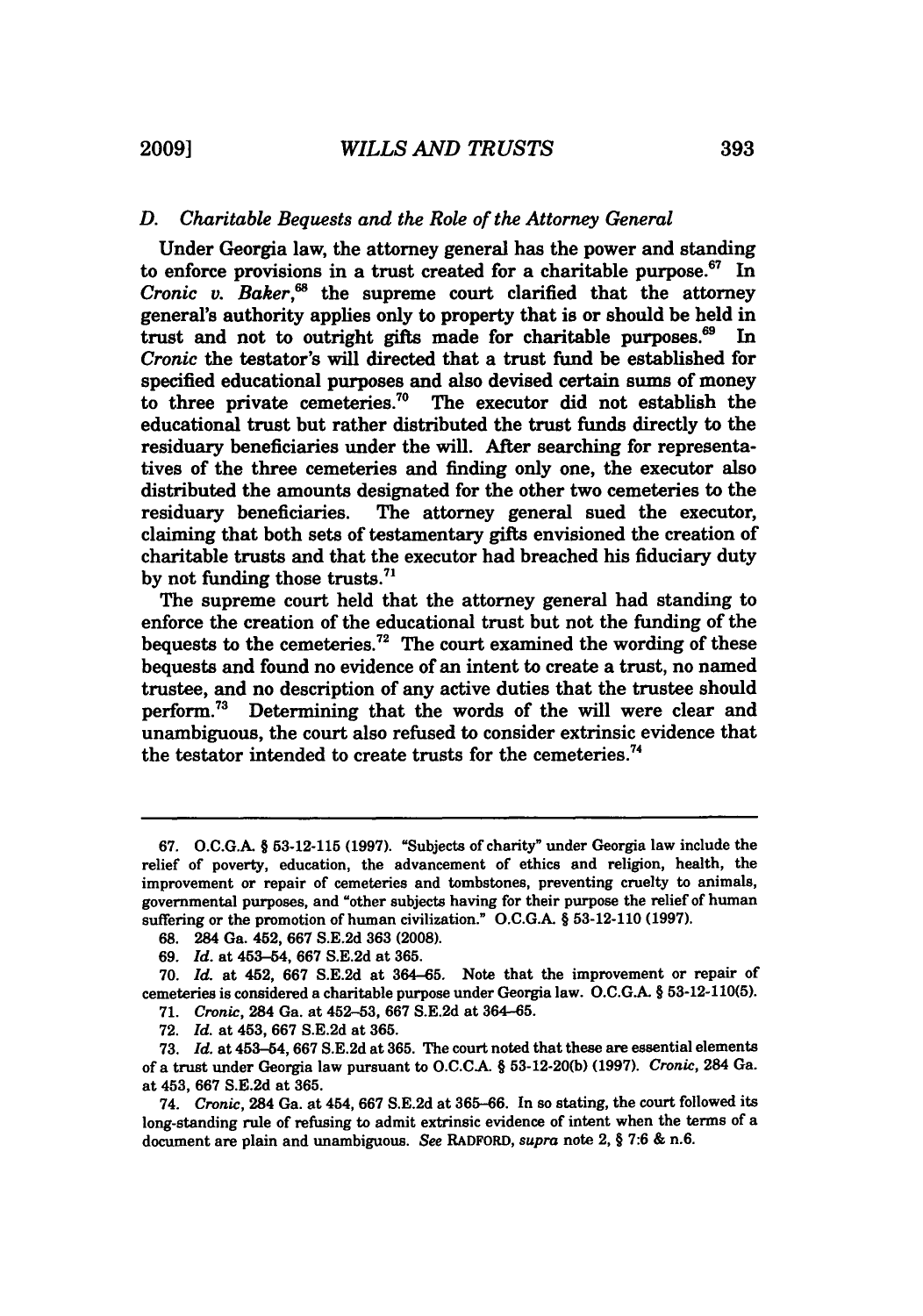### *D. Charitable Bequests and the Role of the Attorney General*

Under Georgia law, the attorney general has the power and standing to enforce provisions in a trust created for a charitable purpose. $67$  In *Cronic v. Baker*,<sup>68</sup> the supreme court clarified that the attorney general's authority applies only to property that is or should be held in trust and not to outright gifts made for charitable purposes. $69$  In *Cronic* the testator's will directed that a trust fund be established for specified educational purposes and also devised certain sums of money to three private cemeteries.<sup>70</sup> The executor did not establish the educational trust but rather distributed the trust funds directly to the residuary beneficiaries under the will. After searching for representatives of the three cemeteries and finding only one, the executor also distributed the amounts designated for the other two cemeteries to the residuary beneficiaries. The attorney general sued the executor, claiming that both sets of testamentary gifts envisioned the creation of charitable trusts and that the executor had breached his fiduciary duty by not funding those trusts. $71$ 

The supreme court held that the attorney general had standing to enforce the creation of the educational trust but not the funding of the bequests to the cemeteries.<sup>72</sup> The court examined the wording of these bequests and found no evidence of an intent to create a trust, no named trustee, and no description of any active duties that the trustee should perform.73 Determining that the words of the will were clear and unambiguous, the court also refused to consider extrinsic evidence that the testator intended to create trusts for the cemeteries.<sup>74</sup>

- 71. *Cronic,* 284 Ga. at **452-53,** 667 S.E.2d at **364-65.**
- 72. *Id.* at 453, 667 S.E.2d at 365.

<sup>67.</sup> O.C.G.A. § 53-12-115 **(1997).** "Subjects of charity" under Georgia law include the relief of poverty, education, the advancement of ethics and religion, health, the improvement or repair of cemeteries and tombstones, preventing cruelty to animals, governmental purposes, and "other subjects having for their purpose the relief of human suffering or the promotion of human civilization." O.C.G.A. § 53-12-110 (1997).

**<sup>68.</sup>** 284 Ga. 452, 667 S.E.2d 363 **(2008).**

**<sup>69.</sup>** *Id.* at 453-54, 667 S.E.2d at 365.

<sup>70.</sup> *Id.* at 452, 667 S.E.2d at 364-65. Note that the improvement or repair of cemeteries is considered a charitable purpose under Georgia law. **O.C.G.** § 53-12-110(5).

<sup>73.</sup> *Id.* at 453-54, **667** S.E.2d at 365. The court noted that these are essential elements of a trust under Georgia law pursuant to **O.C.CA.** § 53-12-20(b) **(1997).** *Cronic,* 284 Ga. at 453, 667 S.E.2d at 365.

<sup>74.</sup> *Cronic,* 284 Ga. at 454, **667** S.E.2d at 365-66. In so stating, the court followed its long-standing rule of refusing to admit extrinsic evidence of intent when the terms of a document are plain and unambiguous. *See* RADFORD, *supra* note 2, § **7:6** & n.6.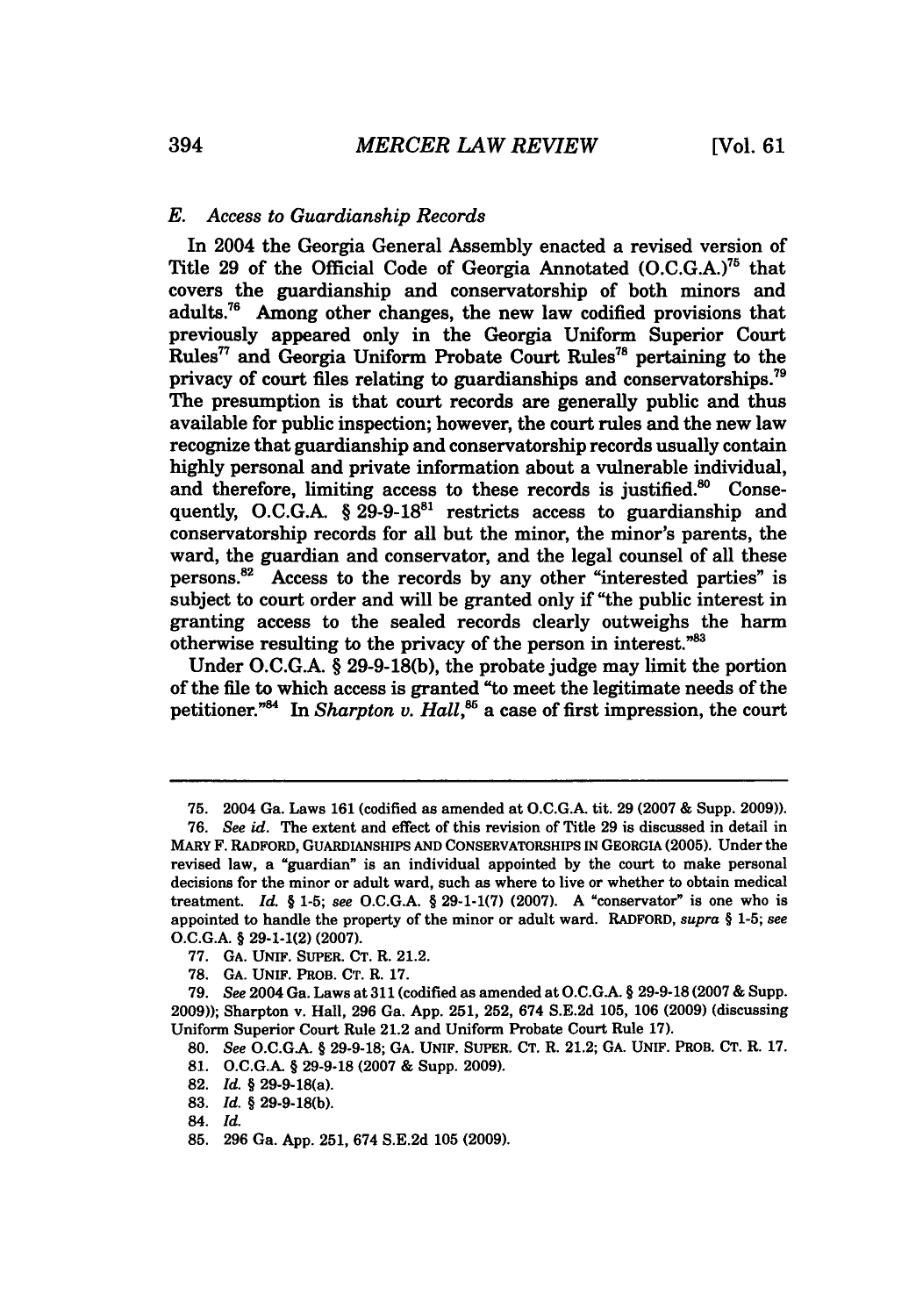#### *E. Access to Guardianship Records*

In 2004 the Georgia General Assembly enacted a revised version of Title 29 of the Official Code of Georgia Annotated (O.C.G.A.)75 that covers the guardianship and conservatorship of both minors and adults.<sup>76</sup> Among other changes, the new law codified provisions that previously appeared only in the Georgia Uniform Superior Court **Rules <sup>77</sup>**and Georgia Uniform Probate Court Rules"8 pertaining to the privacy of court files relating to guardianships and conservatorships.<sup>79</sup> The presumption is that court records are generally public and thus available for public inspection; however, the court rules and the new law recognize that guardianship and conservatorship records usually contain highly personal and private information about a vulnerable individual, and therefore, limiting access to these records is justified.<sup>80</sup> Consequently, O.C.G.A.  $\S 29-9-18^{81}$  restricts access to guardianship and conservatorship records for all but the minor, the minor's parents, the ward, the guardian and conservator, and the legal counsel of all these persons. $82$  Access to the records by any other "interested parties" is subject to court order and will be granted only if "the public interest in granting access to the sealed records clearly outweighs the harm otherwise resulting to the privacy of the person in interest. $^{83}$ 

Under O.C.G.A. § 29-9-18(b), the probate judge may limit the portion of the fie to which access is granted "to meet the legitimate needs of the petitioner.<sup>"84</sup> In *Sharpton v. Hall*,<sup>85</sup> a case of first impression, the court

<sup>75. 2004</sup> Ga. Laws 161 (codified as amended at O.C.G.A. tit. 29 (2007 & Supp. 2009)).

**<sup>76.</sup>** *See id.* The extent and effect of this revision of Title **29** is discussed in detail in MARY F. RADFORD, **GUARDIANSHIPS AND** CONSERVATORSHIPS **IN** GEORGIA **(2005).** Under the revised law, a "guardian" is an individual appointed **by** the court to make personal decisions for the minor or adult ward, such as where to live or whether to obtain medical treatment. *Id. §* **1-5;** *see* **O.C.G.A.** *§* **29-1-1(7) (2007). A** "conservator" is one who is appointed to handle the property of the minor or adult ward. RADFORD, *supra §* **1-5;** *see* **O.C.G.A.** *§* **29-1-1(2) (2007).**

**<sup>77.</sup> GA. UNIF. SUPER. CT.** R. 21.2.

**<sup>78.</sup> GA. UNIF.** PROB. **CT.** R. **17.**

**<sup>79.</sup>** *See* 2004 Ga. Laws at 311 (codified as amended at **O.C.GA.** *§* **29-9-18 (2007 &** Supp. **2009));** Sharpton v. Hall, **296** Ga. **App. 251, 252,** 674 **S.E.2d 105, 106 (2009)** (discussing Uniform Superior Court Rule 21.2 and Uniform Probate Court Rule **17).**

**<sup>80.</sup>** *See* **O.C.GA.** *§* **29-9-18; GA. UNIF. SUPER. CT.** R. 21.2; **GA. UNIF.** PROB. **CT.** R. **17.**

**<sup>81.</sup> O.C.G.A.** *§* **29-9-18 (2007 &** Supp. **2009).**

**<sup>82.</sup>** *Id. §* 29-9-18(a).

**<sup>83.</sup>** *Id. §* **29-9-18(b).**

<sup>84.</sup> *Id.*

**<sup>85. 296</sup>** Ga. **App. 251,** 674 **S.E.2d 105 (2009).**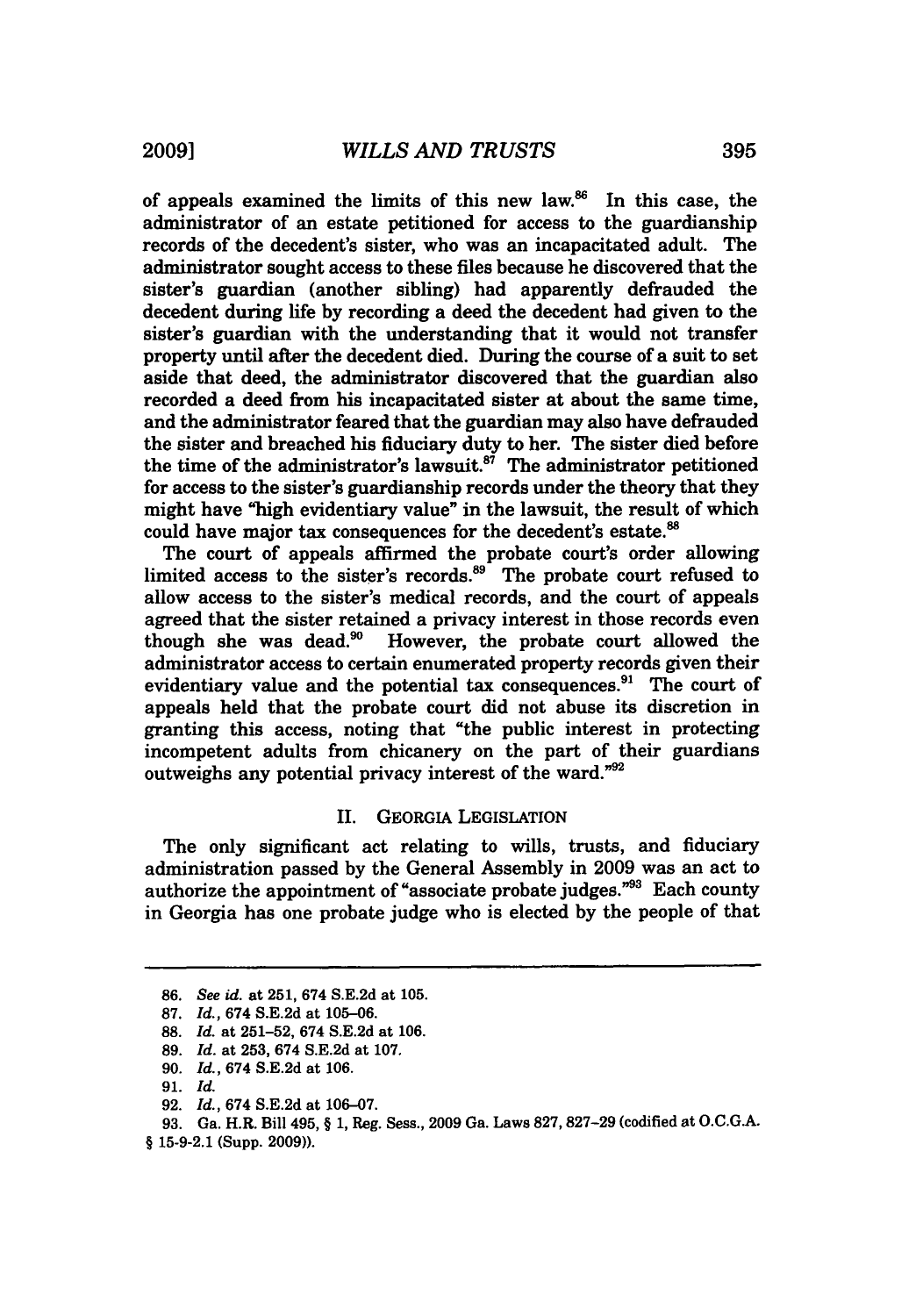of appeals examined the limits of this new law. $86$  In this case, the administrator of an estate petitioned for access to the guardianship records of the decedent's sister, who was an incapacitated adult. The administrator sought access to these files because he discovered that the sister's guardian (another sibling) had apparently defrauded the decedent during life by recording a deed the decedent had given to the sister's guardian with the understanding that it would not transfer property until after the decedent died. During the course of a suit to set aside that deed, the administrator discovered that the guardian also recorded a deed from his incapacitated sister at about the same time, and the administrator feared that the guardian may also have defrauded the sister and breached his fiduciary duty to her. The sister died before the time of the administrator's lawsuit. $8^7$  The administrator petitioned for access to the sister's guardianship records under the theory that they might have "high evidentiary value" in the lawsuit, the result of which could have major tax consequences for the decedent's estate.<sup>88</sup>

The court of appeals affirmed the probate court's order allowing limited access to the sister's records.<sup>89</sup> The probate court refused to allow access to the sister's medical records, and the court of appeals agreed that the sister retained a privacy interest in those records even though she was dead.<sup>90</sup> However, the probate court allowed the administrator access to certain enumerated property records given their evidentiary value and the potential tax consequences.<sup>91</sup> The court of appeals held that the probate court did not abuse its discretion in granting this access, noting that "the public interest in protecting incompetent adults from chicanery on the part of their guardians outweighs any potential privacy interest of the ward."<sup>92</sup>

#### II. GEORGIA LEGISLATION

The only significant act relating to wills, trusts, and fiduciary administration passed by the General Assembly in 2009 was an act to authorize the appointment of "associate probate judges."93 Each county in Georgia has one probate judge who is elected by the people of that

<sup>86.</sup> *See id.* at 251, 674 S.E.2d at 105.

<sup>87.</sup> *Id.,* 674 S.E.2d at 105-06.

<sup>88.</sup> *Id.* at 251-52, 674 S.E.2d at 106.

<sup>89.</sup> *Id.* at 253, 674 S.E.2d at 107.

<sup>90.</sup> *Id.,* 674 S.E.2d at 106.

**<sup>91.</sup>** *Id.*

<sup>92.</sup> *Id.,* 674 S.E.2d at 106-07.

<sup>93.</sup> Ga. H.R. Bill 495, § 1, Reg. Sess., 2009 Ga. Laws 827,827-29 (codified at O.C.G.A.

<sup>§ 15-9-2.1 (</sup>Supp. 2009)).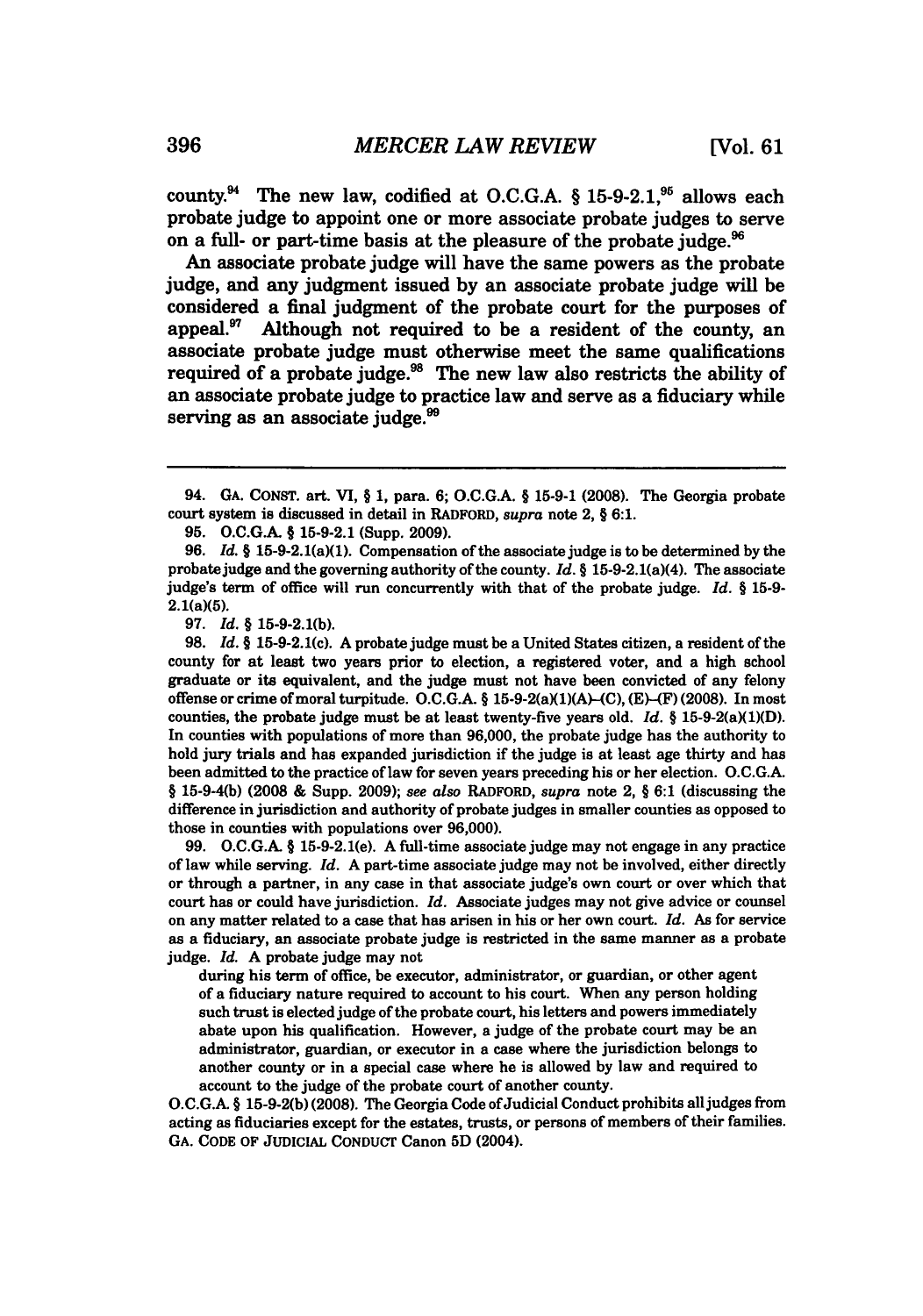county.<sup>94</sup> The new law, codified at O.C.G.A. § 15-9-2.1,<sup>95</sup> allows each probate judge to appoint one or more associate probate judges to serve on a full- or part-time basis at the pleasure of the probate judge. $96$ 

An associate probate judge will have the same powers as the probate judge, and any judgment issued **by** an associate probate judge will be considered a final judgment of the probate court for the purposes of appeal.<sup>97</sup> Although not required to be a resident of the county, an associate probate judge must otherwise meet the same qualifications required of a probate judge. $98$  The new law also restricts the ability of an associate probate judge to practice law and serve as a fiduciary while serving as an associate judge. $^{99}$ 

**98.** *Id. §* **15-9-2.1(c). A** probate judge must be a United States citizen, a resident of the county for at least two years prior to election, a registered voter, and a high school graduate or its equivalent, and the judge must not have been convicted of any felony offense or crime of moral turpitude. **O.C.G.A.** § 15-9-2(a)(1)(A)--(C), **(E)-(F) (2008).** In most counties, the probate judge must be at least twenty-five years old. *Id. §* 15-9-2(a)(1)(D). In counties with populations of more than **96,000,** the probate judge has the authority to hold jury trials and has expanded jurisdiction if the judge is at least age thirty and has been admitted to the practice of law for seven years preceding his or her election. **O.C.G.A.** § **15-9-4(b) (2008 &** Supp. **2009);** *see also* RADFORD, *supra* note 2, § **6:1** (discussing the difference in jurisdiction and authority of probate judges in smaller counties as opposed to those in counties with populations over **96,000).**

**99. O.C.G.A.** § **15-9-2.1(e). A** full-time associate judge may not engage in any practice of law while serving. *Id.* **A** part-time associate judge may not be involved, either directly or through a partner, in any case in that associate judge's own court or over which that court has or could have jurisdiction. *Id.* Associate judges may not give advice or counsel on any matter related to a case that has arisen in his or her own court. *Id.* As for service as a fiduciary, an associate probate judge is restricted in the same manner as a probate judge. *Id.* **A** probate judge may not

during his term of office, be executor, administrator, or guardian, or other agent of a fiduciary nature required to account to his court. When any person holding such trust is elected judge of the probate court, his letters and powers immediately abate upon his qualification. However, a judge of the probate court may be an administrator, guardian, or executor in a case where the jurisdiction belongs to another county or in a special case where he is allowed **by** law and required to account to the judge of the probate court of another county.

**O.C.G.A.** § **15-9-2(b) (2008).** The Georgia Code of Judicial Conduct prohibits all judges from acting as fiduciaries except for the estates, trusts, or persons of members of their families. **GA. CODE** OF **JUDICIAL CONDUCT** Canon **5D** (2004).

<sup>94.</sup> **GA. CONST.** art. VI, § **1,** para. **6; O.C.G.A.** § **15-9-1 (2008).** The Georgia probate court system is discussed in detail in RADFORD, *supra* note 2, § **6:1.**

**<sup>95.</sup> O.C.G.A.** § **15-9-2.1** (Supp. **2009).**

**<sup>96.</sup>** *Id. §* 15-9-2.1(a)(1). Compensation of the associatejudge is to be determined **by** the probate judge and the governing authority of the county. *Id. §* 15-9-2.1(a)(4). The associate judge's term of office will **run** concurrently with that of the probate judge. *Id. §* **15-9-** 2.1(a)(5).

**<sup>97.</sup>** *Id. §* **15-9-2.1(b).**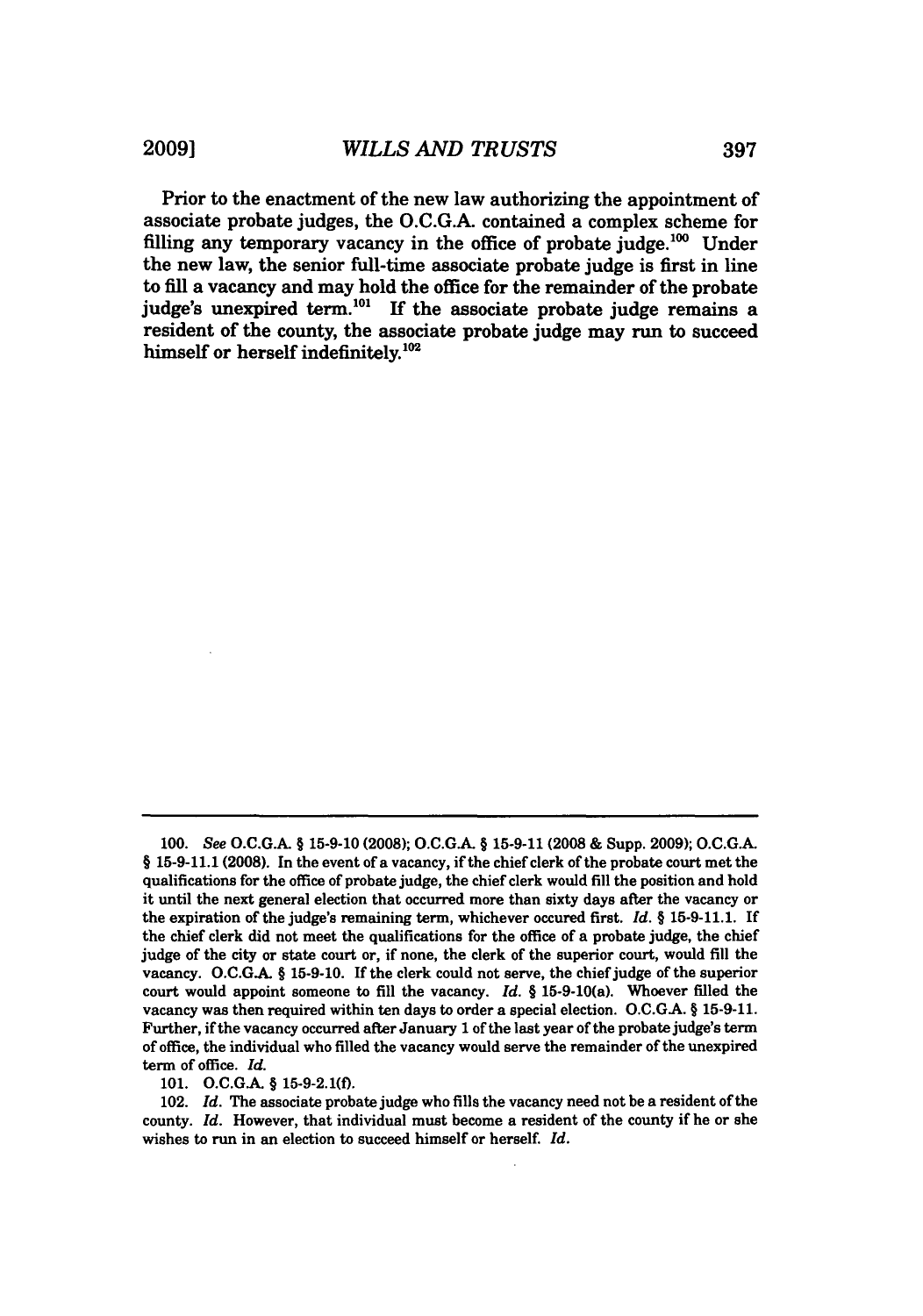Prior to the enactment of the new law authorizing the appointment of associate probate judges, the O.C.G.A. contained a complex scheme for filling any temporary vacancy in the office of probate judge. $^{100}$  Under the new law, the senior full-time associate probate judge is first in line to fill a vacancy and may hold the office for the remainder of the probate judge's unexpired term.<sup>101</sup> If the associate probate judge remains a resident of the county, the associate probate judge may run to succeed himself or herself indefinitely.<sup>102</sup>

**101. O.C.GA** § **15-9-2.1(f).**

**<sup>100.</sup>** *See* **O.C.G.A.** § **15-9-10 (2008); O.C.GA.** § **15-9-11 (2008 &** Supp. **2009); O.C.G.A. § 15-9-11.1 (2008).** In the event of a vacancy, if the chief clerk of the probate court met the qualifications for the office of probate judge, the chief clerk would **fill** the position and hold it until the next general election that occurred more than sixty days after the vacancy or the expiration of the judge's remaining term, whichever occured first. *Id. §* **15-9-11.1.** If the chief clerk did not meet the qualifications for the office of a probate judge, the chief judge of the city or state court or, if none, the clerk of the superior court, would **fill** the vacancy. **O.C.GA.** § **15-9-10.** If the clerk could not serve, the chief judge of the superior court would appoint someone to **fill** the vacancy. *Id. §* 15-9-10(a). Whoever filled the vacancy was then required within ten days to order a special election. **O.C.GA.** § **15-9-11.** Further, if the vacancy occurred after January 1 of the last year of the probate judge's term of office, the individual who filled the vacancy would serve the remainder of the unexpired term of office. *Id.*

<sup>102.</sup> *Id.* The associate probate judge who fills the vacancy need not be a resident of the county. *Id.* However, that individual must become a resident of the county if he or she wishes to run in an election to succeed himself or herself. *Id.*